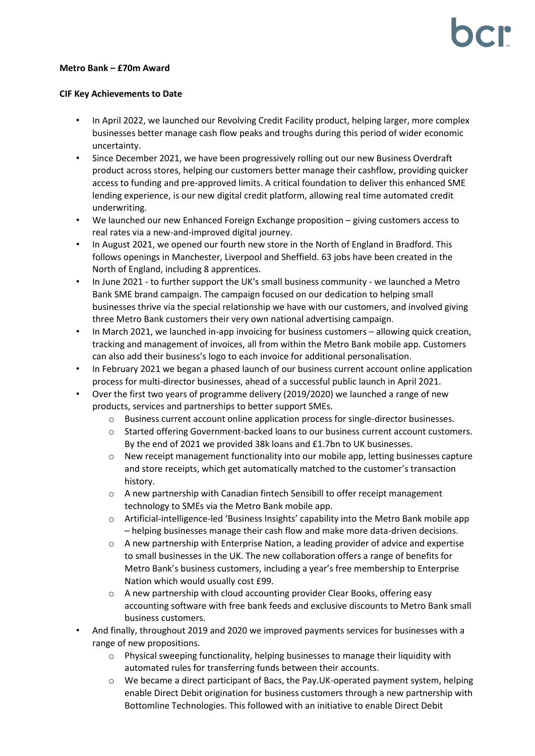### **Metro Bank – £70m Award**

### **CIF Key Achievements to Date**

- In April 2022, we launched our Revolving Credit Facility product, helping larger, more complex businesses better manage cash flow peaks and troughs during this period of wider economic uncertainty.
- Since December 2021, we have been progressively rolling out our new Business Overdraft product across stores, helping our customers better manage their cashflow, providing quicker access to funding and pre-approved limits. A critical foundation to deliver this enhanced SME lending experience, is our new digital credit platform, allowing real time automated credit underwriting.
- We launched our new Enhanced Foreign Exchange proposition giving customers access to real rates via a new-and-improved digital journey.
- In August 2021, we opened our fourth new store in the North of England in Bradford. This follows openings in Manchester, Liverpool and Sheffield. 63 jobs have been created in the North of England, including 8 apprentices.
- In June 2021 to further support the UK's small business community we launched a Metro Bank SME brand campaign. The campaign focused on our dedication to helping small businesses thrive via the special relationship we have with our customers, and involved giving three Metro Bank customers their very own national advertising campaign.
- In March 2021, we launched in-app invoicing for business customers allowing quick creation, tracking and management of invoices, all from within the Metro Bank mobile app. Customers can also add their business's logo to each invoice for additional personalisation.
- In February 2021 we began a phased launch of our business current account online application process for multi-director businesses, ahead of a successful public launch in April 2021.
- Over the first two years of programme delivery (2019/2020) we launched a range of new products, services and partnerships to better support SMEs.
	- o Business current account online application process for single-director businesses.
	- o Started offering Government-backed loans to our business current account customers. By the end of 2021 we provided 38k loans and £1.7bn to UK businesses.
	- o New receipt management functionality into our mobile app, letting businesses capture and store receipts, which get automatically matched to the customer's transaction history.
	- o A new partnership with Canadian fintech Sensibill to offer receipt management technology to SMEs via the Metro Bank mobile app.
	- o Artificial-intelligence-led 'Business Insights' capability into the Metro Bank mobile app – helping businesses manage their cash flow and make more data-driven decisions.
	- $\circ$  A new partnership with Enterprise Nation, a leading provider of advice and expertise to small businesses in the UK. The new collaboration offers a range of benefits for Metro Bank's business customers, including a year's free membership to Enterprise Nation which would usually cost £99.
	- o A new partnership with cloud accounting provider Clear Books, offering easy accounting software with free bank feeds and exclusive discounts to Metro Bank small business customers.
- And finally, throughout 2019 and 2020 we improved payments services for businesses with a range of new propositions.
	- $\circ$  Physical sweeping functionality, helping businesses to manage their liquidity with automated rules for transferring funds between their accounts.
	- o We became a direct participant of Bacs, the Pay.UK-operated payment system, helping enable Direct Debit origination for business customers through a new partnership with Bottomline Technologies. This followed with an initiative to enable Direct Debit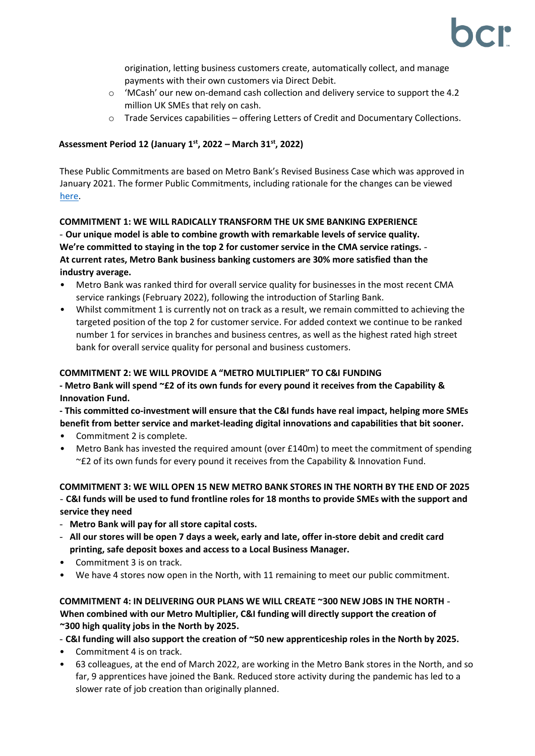origination, letting business customers create, automatically collect, and manage payments with their own customers via Direct Debit.

- $\circ$  'MCash' our new on-demand cash collection and delivery service to support the 4.2 million UK SMEs that rely on cash.
- $\circ$  Trade Services capabilities offering Letters of Credit and Documentary Collections.

# **Assessment Period 12 (January 1 st, 2022 – March 31st, 2022)**

These Public Commitments are based on Metro Bank's Revised Business Case which was approved in January 2021. The former Public Commitments, including rationale for the changes can be viewed [here.](https://bcr-ltd.com/wp-content/uploads/2021/02/Metro-Bank-PLC-Public-Commitment-Update_Q420v1.0.pdf)

**COMMITMENT 1: WE WILL RADICALLY TRANSFORM THE UK SME BANKING EXPERIENCE**  - **Our unique model is able to combine growth with remarkable levels of service quality. We're committed to staying in the top 2 for customer service in the CMA service ratings.** - **At current rates, Metro Bank business banking customers are 30% more satisfied than the industry average.** 

- Metro Bank was ranked third for overall service quality for businesses in the most recent CMA service rankings (February 2022), following the introduction of Starling Bank.
- Whilst commitment 1 is currently not on track as a result, we remain committed to achieving the targeted position of the top 2 for customer service. For added context we continue to be ranked number 1 for services in branches and business centres, as well as the highest rated high street bank for overall service quality for personal and business customers.

## **COMMITMENT 2: WE WILL PROVIDE A "METRO MULTIPLIER" TO C&I FUNDING**

**- Metro Bank will spend ~£2 of its own funds for every pound it receives from the Capability & Innovation Fund.** 

**- This committed co-investment will ensure that the C&I funds have real impact, helping more SMEs benefit from better service and market-leading digital innovations and capabilities that bit sooner.** 

- Commitment 2 is complete.
- Metro Bank has invested the required amount (over £140m) to meet the commitment of spending ~£2 of its own funds for every pound it receives from the Capability & Innovation Fund.

## **COMMITMENT 3: WE WILL OPEN 15 NEW METRO BANK STORES IN THE NORTH BY THE END OF 2025**  - **C&I funds will be used to fund frontline roles for 18 months to provide SMEs with the support and service they need**

- **Metro Bank will pay for all store capital costs.**
- **All our stores will be open 7 days a week, early and late, offer in-store debit and credit card printing, safe deposit boxes and access to a Local Business Manager.**
- Commitment 3 is on track.
- We have 4 stores now open in the North, with 11 remaining to meet our public commitment.

## **COMMITMENT 4: IN DELIVERING OUR PLANS WE WILL CREATE ~300 NEW JOBS IN THE NORTH** - **When combined with our Metro Multiplier, C&I funding will directly support the creation of ~300 high quality jobs in the North by 2025.**

- **C&I funding will also support the creation of ~50 new apprenticeship roles in the North by 2025.** 

- Commitment 4 is on track.
- 63 colleagues, at the end of March 2022, are working in the Metro Bank stores in the North, and so far, 9 apprentices have joined the Bank. Reduced store activity during the pandemic has led to a slower rate of job creation than originally planned.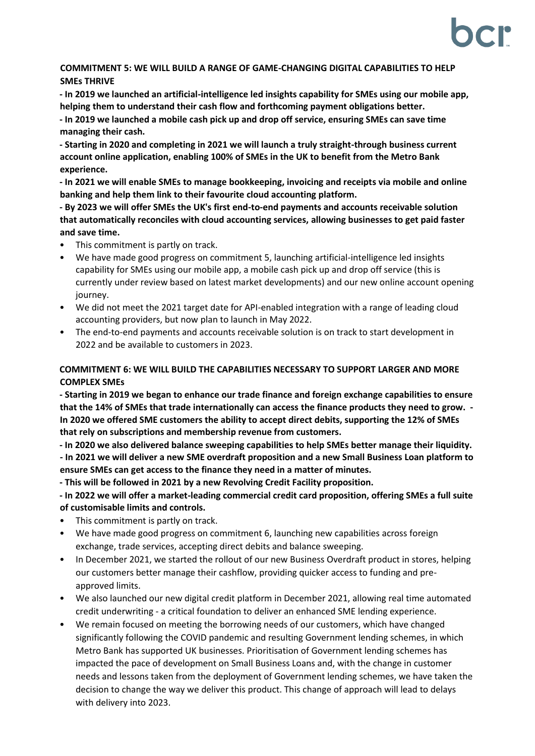## **COMMITMENT 5: WE WILL BUILD A RANGE OF GAME-CHANGING DIGITAL CAPABILITIES TO HELP SMEs THRIVE**

**- In 2019 we launched an artificial-intelligence led insights capability for SMEs using our mobile app, helping them to understand their cash flow and forthcoming payment obligations better.** 

**- In 2019 we launched a mobile cash pick up and drop off service, ensuring SMEs can save time managing their cash.** 

**- Starting in 2020 and completing in 2021 we will launch a truly straight-through business current account online application, enabling 100% of SMEs in the UK to benefit from the Metro Bank experience.** 

**- In 2021 we will enable SMEs to manage bookkeeping, invoicing and receipts via mobile and online banking and help them link to their favourite cloud accounting platform.** 

**- By 2023 we will offer SMEs the UK's first end-to-end payments and accounts receivable solution that automatically reconciles with cloud accounting services, allowing businesses to get paid faster and save time.** 

- This commitment is partly on track.
- We have made good progress on commitment 5, launching artificial-intelligence led insights capability for SMEs using our mobile app, a mobile cash pick up and drop off service (this is currently under review based on latest market developments) and our new online account opening journey.
- We did not meet the 2021 target date for API-enabled integration with a range of leading cloud accounting providers, but now plan to launch in May 2022.
- The end-to-end payments and accounts receivable solution is on track to start development in 2022 and be available to customers in 2023.

# **COMMITMENT 6: WE WILL BUILD THE CAPABILITIES NECESSARY TO SUPPORT LARGER AND MORE COMPLEX SMEs**

**- Starting in 2019 we began to enhance our trade finance and foreign exchange capabilities to ensure that the 14% of SMEs that trade internationally can access the finance products they need to grow. - In 2020 we offered SME customers the ability to accept direct debits, supporting the 12% of SMEs that rely on subscriptions and membership revenue from customers.** 

**- In 2020 we also delivered balance sweeping capabilities to help SMEs better manage their liquidity. - In 2021 we will deliver a new SME overdraft proposition and a new Small Business Loan platform to ensure SMEs can get access to the finance they need in a matter of minutes.** 

**- This will be followed in 2021 by a new Revolving Credit Facility proposition.** 

**- In 2022 we will offer a market-leading commercial credit card proposition, offering SMEs a full suite of customisable limits and controls.** 

- This commitment is partly on track.
- We have made good progress on commitment 6, launching new capabilities across foreign exchange, trade services, accepting direct debits and balance sweeping.
- In December 2021, we started the rollout of our new Business Overdraft product in stores, helping our customers better manage their cashflow, providing quicker access to funding and preapproved limits.
- We also launched our new digital credit platform in December 2021, allowing real time automated credit underwriting - a critical foundation to deliver an enhanced SME lending experience.
- We remain focused on meeting the borrowing needs of our customers, which have changed significantly following the COVID pandemic and resulting Government lending schemes, in which Metro Bank has supported UK businesses. Prioritisation of Government lending schemes has impacted the pace of development on Small Business Loans and, with the change in customer needs and lessons taken from the deployment of Government lending schemes, we have taken the decision to change the way we deliver this product. This change of approach will lead to delays with delivery into 2023.